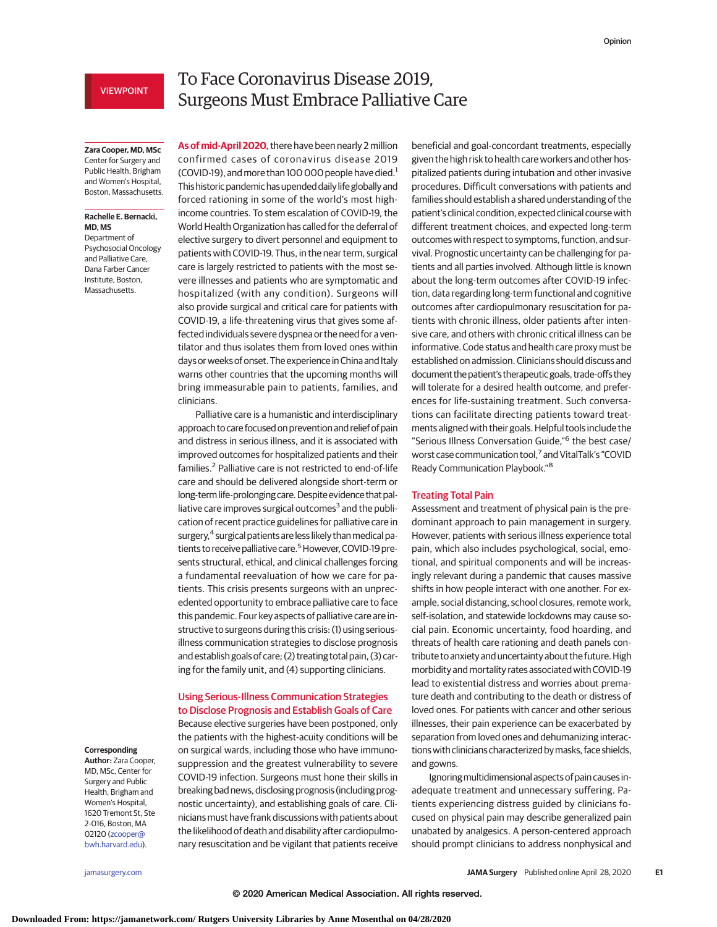# VIEWPOINT

# To Face Coronavirus Disease 2019, Surgeons Must Embrace Palliative Care

**Zara Cooper, MD, MSc** Center for Surgery and

Public Health, Brigham and Women's Hospital, Boston, Massachusetts.

### **Rachelle E. Bernacki, MD, MS**

Department of Psychosocial Oncology and Palliative Care, Dana Farber Cancer Institute, Boston, Massachusetts.

**As of mid-April 2020,**there have been nearly 2 million confirmed cases of coronavirus disease 2019 (COVID-19), and more than 100 000 people have died.<sup>1</sup> This historic pandemic has upended daily life globally and forced rationing in some of the world's most highincome countries. To stem escalation of COVID-19, the World Health Organization has called for the deferral of elective surgery to divert personnel and equipment to patients with COVID-19. Thus, in the near term, surgical care is largely restricted to patients with the most severe illnesses and patients who are symptomatic and hospitalized (with any condition). Surgeons will also provide surgical and critical care for patients with COVID-19, a life-threatening virus that gives some affected individuals severe dyspnea or the need for a ventilator and thus isolates them from loved ones within days or weeks of onset. The experience in China and Italy warns other countries that the upcoming months will bring immeasurable pain to patients, families, and clinicians.

Palliative care is a humanistic and interdisciplinary approach to care focused on prevention and relief of pain and distress in serious illness, and it is associated with improved outcomes for hospitalized patients and their families.<sup>2</sup> Palliative care is not restricted to end-of-life care and should be delivered alongside short-term or long-term life-prolonging care. Despite evidence that palliative care improves surgical outcomes $3$  and the publication of recent practice guidelines for palliative care in surgery,<sup>4</sup> surgical patients are less likely than medical patients to receive palliative care.<sup>5</sup> However, COVID-19 presents structural, ethical, and clinical challenges forcing a fundamental reevaluation of how we care for patients. This crisis presents surgeons with an unprecedented opportunity to embrace palliative care to face this pandemic. Four key aspects of palliative care are instructive to surgeons during this crisis: (1) using seriousillness communication strategies to disclose prognosis and establish goals of care; (2) treating total pain, (3) caring for the family unit, and (4) supporting clinicians.

## Using Serious-Illness Communication Strategies to Disclose Prognosis and Establish Goals of Care

Because elective surgeries have been postponed, only the patients with the highest-acuity conditions will be on surgical wards, including those who have immunosuppression and the greatest vulnerability to severe COVID-19 infection. Surgeons must hone their skills in breaking bad news, disclosing prognosis (including prognostic uncertainty), and establishing goals of care. Clinicians must have frank discussions with patients about the likelihood of death and disability after cardiopulmonary resuscitation and be vigilant that patients receive

beneficial and goal-concordant treatments, especially given the high risk to health care workers and other hospitalized patients during intubation and other invasive procedures. Difficult conversations with patients and families should establish a shared understanding of the patient's clinical condition, expected clinical course with different treatment choices, and expected long-term outcomes with respect to symptoms, function, and survival. Prognostic uncertainty can be challenging for patients and all parties involved. Although little is known about the long-term outcomes after COVID-19 infection, data regarding long-term functional and cognitive outcomes after cardiopulmonary resuscitation for patients with chronic illness, older patients after intensive care, and others with chronic critical illness can be informative. Code status and health care proxy must be established on admission. Clinicians should discuss and document the patient's therapeutic goals, trade-offs they will tolerate for a desired health outcome, and preferences for life-sustaining treatment. Such conversations can facilitate directing patients toward treatments aligned with their goals. Helpful tools include the "Serious Illness Conversation Guide,"<sup>6</sup> the best case/ worst case communication tool,7 and VitalTalk's "COVID Ready Communication Playbook."<sup>8</sup>

## Treating Total Pain

Assessment and treatment of physical pain is the predominant approach to pain management in surgery. However, patients with serious illness experience total pain, which also includes psychological, social, emotional, and spiritual components and will be increasingly relevant during a pandemic that causes massive shifts in how people interact with one another. For example, social distancing, school closures, remote work, self-isolation, and statewide lockdowns may cause social pain. Economic uncertainty, food hoarding, and threats of health care rationing and death panels contribute to anxiety and uncertainty about the future. High morbidity and mortality rates associated with COVID-19 lead to existential distress and worries about premature death and contributing to the death or distress of loved ones. For patients with cancer and other serious illnesses, their pain experience can be exacerbated by separation from loved ones and dehumanizing interactionswith clinicians characterized bymasks, face shields, and gowns.

Ignoring multidimensional aspects of pain causes inadequate treatment and unnecessary suffering. Patients experiencing distress guided by clinicians focused on physical pain may describe generalized pain unabated by analgesics. A person-centered approach should prompt clinicians to address nonphysical and

# **Corresponding**

**Author:** Zara Cooper, MD, MSc, Center for Surgery and Public Health, Brigham and Women's Hospital, 1620 Tremont St, Ste 2-016, Boston, MA 02120 [\(zcooper@](mailto:zcooper@bwh.harvard.edu) [bwh.harvard.edu\)](mailto:zcooper@bwh.harvard.edu).